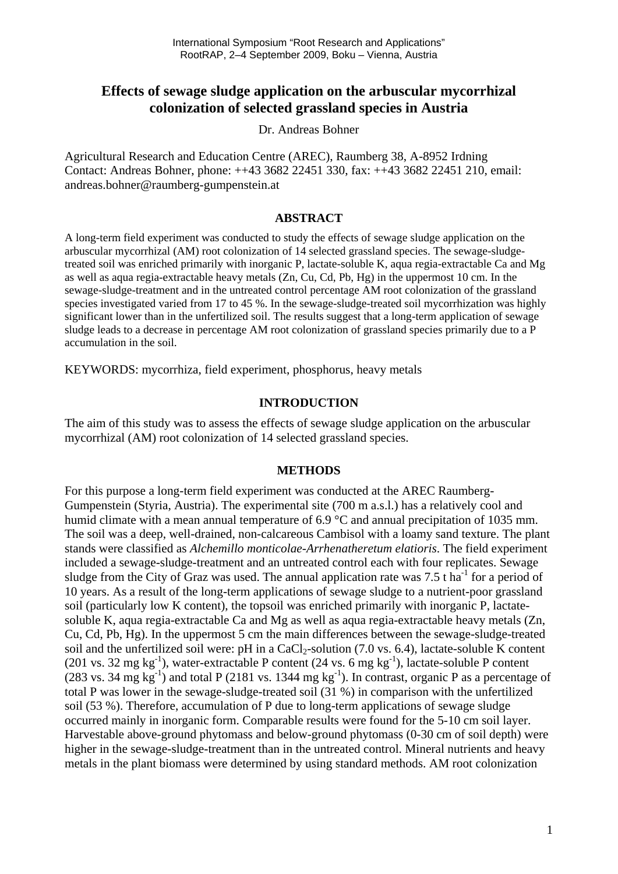# **Effects of sewage sludge application on the arbuscular mycorrhizal colonization of selected grassland species in Austria**

Dr. Andreas Bohner

Agricultural Research and Education Centre (AREC), Raumberg 38, A-8952 Irdning Contact: Andreas Bohner, phone: ++43 3682 22451 330, fax: ++43 3682 22451 210, email: andreas.bohner@raumberg-gumpenstein.at

### **ABSTRACT**

A long-term field experiment was conducted to study the effects of sewage sludge application on the arbuscular mycorrhizal (AM) root colonization of 14 selected grassland species. The sewage-sludgetreated soil was enriched primarily with inorganic P, lactate-soluble K, aqua regia-extractable Ca and Mg as well as aqua regia-extractable heavy metals (Zn, Cu, Cd, Pb, Hg) in the uppermost 10 cm. In the sewage-sludge-treatment and in the untreated control percentage AM root colonization of the grassland species investigated varied from 17 to 45 %. In the sewage-sludge-treated soil mycorrhization was highly significant lower than in the unfertilized soil. The results suggest that a long-term application of sewage sludge leads to a decrease in percentage AM root colonization of grassland species primarily due to a P accumulation in the soil.

KEYWORDS: mycorrhiza, field experiment, phosphorus, heavy metals

## **INTRODUCTION**

The aim of this study was to assess the effects of sewage sludge application on the arbuscular mycorrhizal (AM) root colonization of 14 selected grassland species.

### **METHODS**

For this purpose a long-term field experiment was conducted at the AREC Raumberg-Gumpenstein (Styria, Austria). The experimental site (700 m a.s.l.) has a relatively cool and humid climate with a mean annual temperature of 6.9 °C and annual precipitation of 1035 mm. The soil was a deep, well-drained, non-calcareous Cambisol with a loamy sand texture. The plant stands were classified as *Alchemillo monticolae-Arrhenatheretum elatioris*. The field experiment included a sewage-sludge-treatment and an untreated control each with four replicates. Sewage sludge from the City of Graz was used. The annual application rate was  $7.5$  t ha<sup>-1</sup> for a period of 10 years. As a result of the long-term applications of sewage sludge to a nutrient-poor grassland soil (particularly low K content), the topsoil was enriched primarily with inorganic P, lactatesoluble K, aqua regia-extractable Ca and Mg as well as aqua regia-extractable heavy metals (Zn, Cu, Cd, Pb, Hg). In the uppermost 5 cm the main differences between the sewage-sludge-treated soil and the unfertilized soil were:  $pH$  in a CaCl<sub>2</sub>-solution (7.0 vs. 6.4), lactate-soluble K content (201 vs. 32 mg  $kg^{-1}$ ), water-extractable P content (24 vs. 6 mg  $kg^{-1}$ ), lactate-soluble P content  $(283 \text{ vs. } 34 \text{ mg kg}^{-1})$  and total P  $(2181 \text{ vs. } 1344 \text{ mg kg}^{-1})$ . In contrast, organic P as a percentage of total P was lower in the sewage-sludge-treated soil (31 %) in comparison with the unfertilized soil (53 %). Therefore, accumulation of P due to long-term applications of sewage sludge occurred mainly in inorganic form. Comparable results were found for the 5-10 cm soil layer. Harvestable above-ground phytomass and below-ground phytomass (0-30 cm of soil depth) were higher in the sewage-sludge-treatment than in the untreated control. Mineral nutrients and heavy metals in the plant biomass were determined by using standard methods. AM root colonization